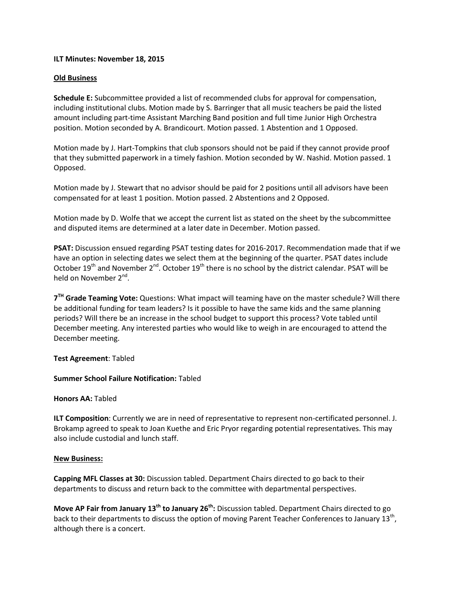## **ILT Minutes: November 18, 2015**

## **Old Business**

**Schedule E:** Subcommittee provided a list of recommended clubs for approval for compensation, including institutional clubs. Motion made by S. Barringer that all music teachers be paid the listed amount including part-time Assistant Marching Band position and full time Junior High Orchestra position. Motion seconded by A. Brandicourt. Motion passed. 1 Abstention and 1 Opposed.

Motion made by J. Hart-Tompkins that club sponsors should not be paid if they cannot provide proof that they submitted paperwork in a timely fashion. Motion seconded by W. Nashid. Motion passed. 1 Opposed.

Motion made by J. Stewart that no advisor should be paid for 2 positions until all advisors have been compensated for at least 1 position. Motion passed. 2 Abstentions and 2 Opposed.

Motion made by D. Wolfe that we accept the current list as stated on the sheet by the subcommittee and disputed items are determined at a later date in December. Motion passed.

**PSAT:** Discussion ensued regarding PSAT testing dates for 2016-2017. Recommendation made that if we have an option in selecting dates we select them at the beginning of the quarter. PSAT dates include October 19<sup>th</sup> and November 2<sup>nd</sup>. October 19<sup>th</sup> there is no school by the district calendar. PSAT will be held on November 2<sup>nd</sup>.

**7 TH Grade Teaming Vote:** Questions: What impact will teaming have on the master schedule? Will there be additional funding for team leaders? Is it possible to have the same kids and the same planning periods? Will there be an increase in the school budget to support this process? Vote tabled until December meeting. Any interested parties who would like to weigh in are encouraged to attend the December meeting.

### **Test Agreement**: Tabled

# **Summer School Failure Notification:** Tabled

### **Honors AA:** Tabled

**ILT Composition**: Currently we are in need of representative to represent non-certificated personnel. J. Brokamp agreed to speak to Joan Kuethe and Eric Pryor regarding potential representatives. This may also include custodial and lunch staff.

### **New Business:**

**Capping MFL Classes at 30:** Discussion tabled. Department Chairs directed to go back to their departments to discuss and return back to the committee with departmental perspectives.

**Move AP Fair from January 13th to January 26th:** Discussion tabled. Department Chairs directed to go back to their departments to discuss the option of moving Parent Teacher Conferences to January 13<sup>th</sup>, although there is a concert.